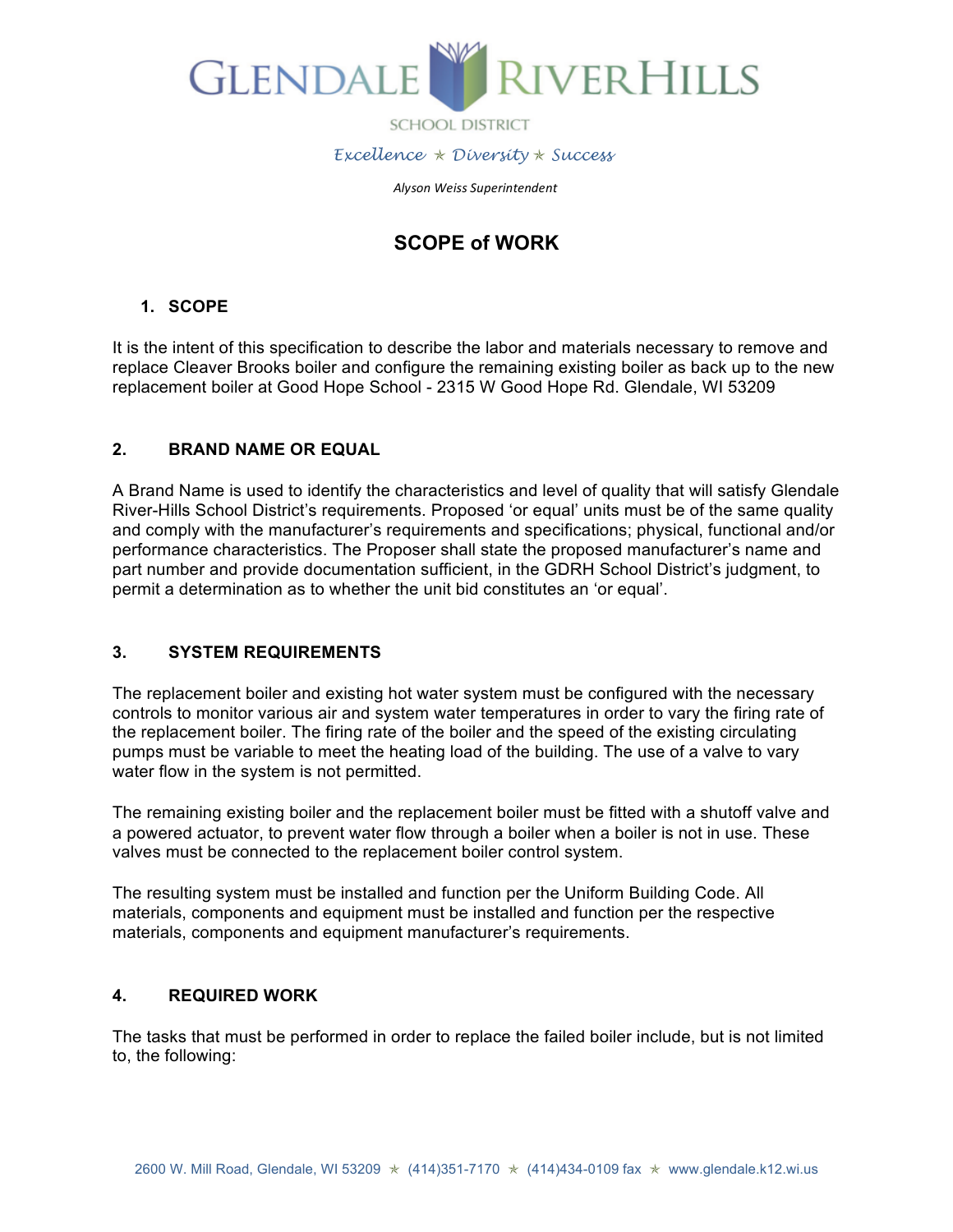

 *Excellence* ✯ *Diversity* ✯ *Success*

 *Alyson Weiss Superintendent*

# **SCOPE of WORK**

# **1. SCOPE**

It is the intent of this specification to describe the labor and materials necessary to remove and replace Cleaver Brooks boiler and configure the remaining existing boiler as back up to the new replacement boiler at Good Hope School - 2315 W Good Hope Rd. Glendale, WI 53209

# **2. BRAND NAME OR EQUAL**

A Brand Name is used to identify the characteristics and level of quality that will satisfy Glendale River-Hills School District's requirements. Proposed 'or equal' units must be of the same quality and comply with the manufacturer's requirements and specifications; physical, functional and/or performance characteristics. The Proposer shall state the proposed manufacturer's name and part number and provide documentation sufficient, in the GDRH School District's judgment, to permit a determination as to whether the unit bid constitutes an 'or equal'.

# **3. SYSTEM REQUIREMENTS**

The replacement boiler and existing hot water system must be configured with the necessary controls to monitor various air and system water temperatures in order to vary the firing rate of the replacement boiler. The firing rate of the boiler and the speed of the existing circulating pumps must be variable to meet the heating load of the building. The use of a valve to vary water flow in the system is not permitted.

The remaining existing boiler and the replacement boiler must be fitted with a shutoff valve and a powered actuator, to prevent water flow through a boiler when a boiler is not in use. These valves must be connected to the replacement boiler control system.

The resulting system must be installed and function per the Uniform Building Code. All materials, components and equipment must be installed and function per the respective materials, components and equipment manufacturer's requirements.

### **4. REQUIRED WORK**

The tasks that must be performed in order to replace the failed boiler include, but is not limited to, the following: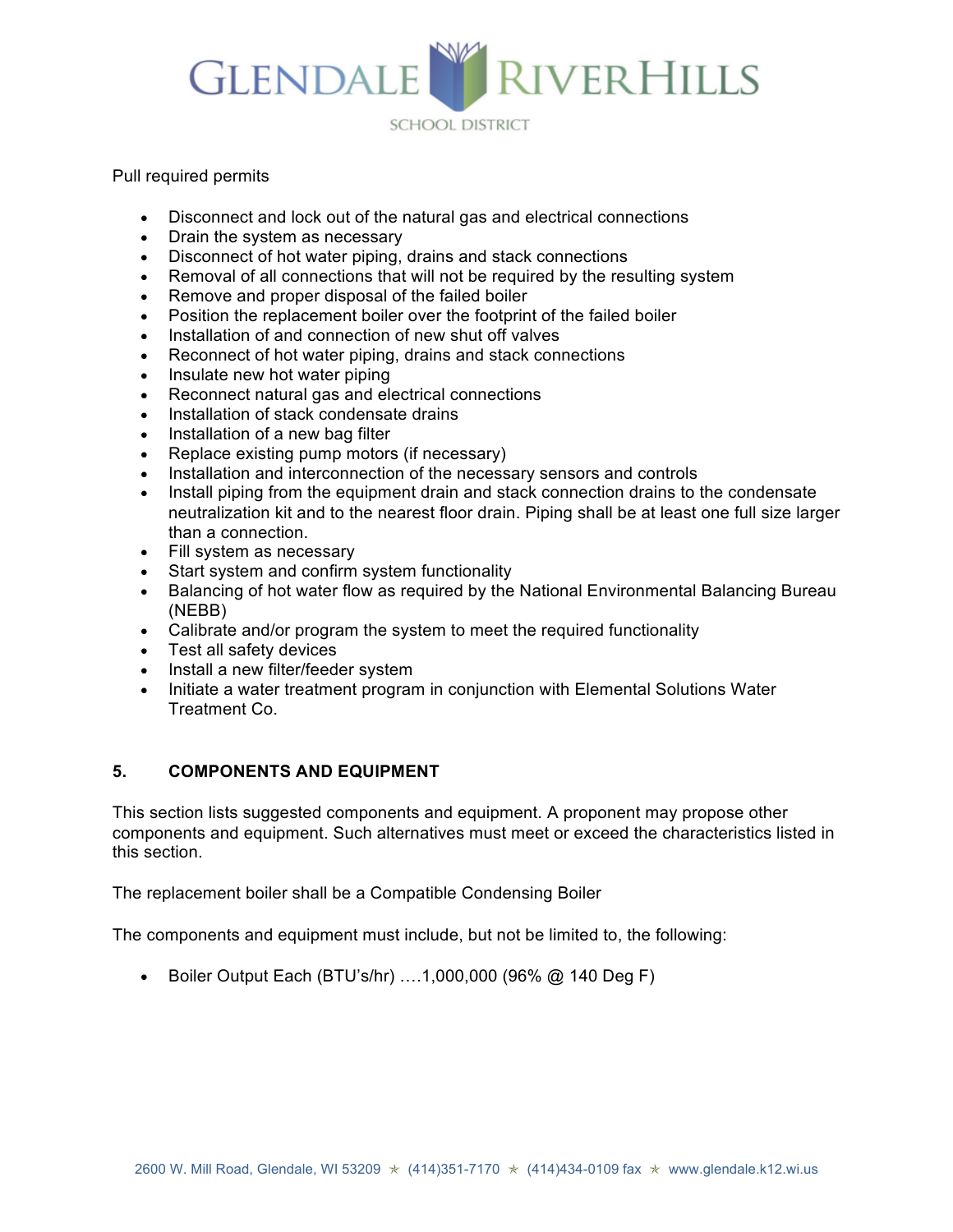

Pull required permits

- Disconnect and lock out of the natural gas and electrical connections
- Drain the system as necessary
- Disconnect of hot water piping, drains and stack connections
- Removal of all connections that will not be required by the resulting system
- Remove and proper disposal of the failed boiler
- Position the replacement boiler over the footprint of the failed boiler
- Installation of and connection of new shut off valves
- Reconnect of hot water piping, drains and stack connections
- Insulate new hot water piping
- Reconnect natural gas and electrical connections
- Installation of stack condensate drains
- Installation of a new bag filter
- Replace existing pump motors (if necessary)
- Installation and interconnection of the necessary sensors and controls
- Install piping from the equipment drain and stack connection drains to the condensate neutralization kit and to the nearest floor drain. Piping shall be at least one full size larger than a connection.
- Fill system as necessary
- Start system and confirm system functionality
- Balancing of hot water flow as required by the National Environmental Balancing Bureau (NEBB)
- Calibrate and/or program the system to meet the required functionality
- Test all safety devices
- Install a new filter/feeder system
- Initiate a water treatment program in conjunction with Elemental Solutions Water Treatment Co.

# **5. COMPONENTS AND EQUIPMENT**

This section lists suggested components and equipment. A proponent may propose other components and equipment. Such alternatives must meet or exceed the characteristics listed in this section.

The replacement boiler shall be a Compatible Condensing Boiler

The components and equipment must include, but not be limited to, the following:

• Boiler Output Each (BTU's/hr) ….1,000,000 (96% @ 140 Deg F)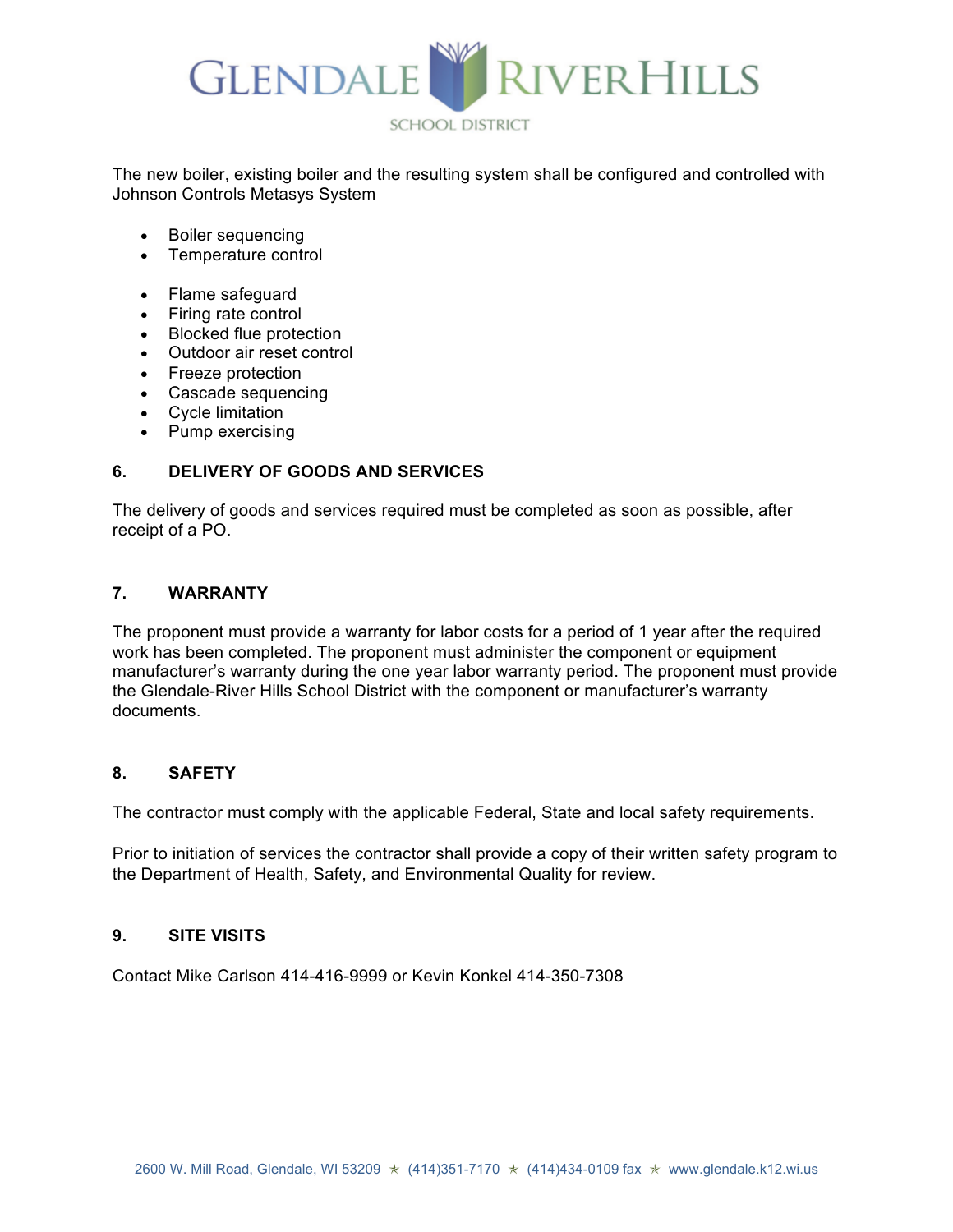

The new boiler, existing boiler and the resulting system shall be configured and controlled with Johnson Controls Metasys System

- Boiler sequencing
- Temperature control
- Flame safeguard
- Firing rate control
- Blocked flue protection
- Outdoor air reset control
- Freeze protection
- Cascade sequencing
- Cycle limitation
- Pump exercising

# **6. DELIVERY OF GOODS AND SERVICES**

The delivery of goods and services required must be completed as soon as possible, after receipt of a PO.

### **7. WARRANTY**

The proponent must provide a warranty for labor costs for a period of 1 year after the required work has been completed. The proponent must administer the component or equipment manufacturer's warranty during the one year labor warranty period. The proponent must provide the Glendale-River Hills School District with the component or manufacturer's warranty documents.

### **8. SAFETY**

The contractor must comply with the applicable Federal, State and local safety requirements.

Prior to initiation of services the contractor shall provide a copy of their written safety program to the Department of Health, Safety, and Environmental Quality for review.

### **9. SITE VISITS**

Contact Mike Carlson 414-416-9999 or Kevin Konkel 414-350-7308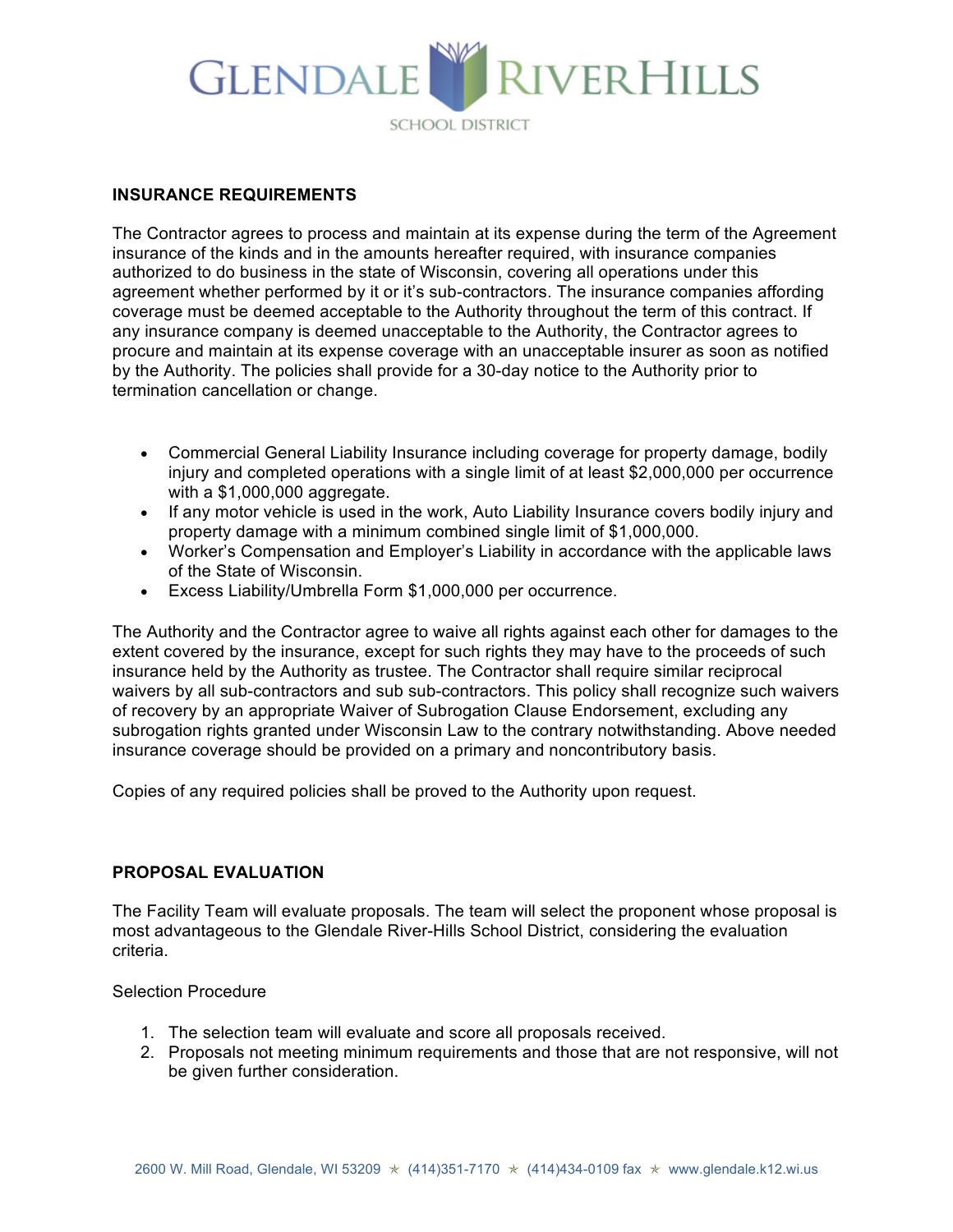# RIVERHILLS GLENDALE **SCHOOL DISTRICT**

### **INSURANCE REQUIREMENTS**

The Contractor agrees to process and maintain at its expense during the term of the Agreement insurance of the kinds and in the amounts hereafter required, with insurance companies authorized to do business in the state of Wisconsin, covering all operations under this agreement whether performed by it or it's sub-contractors. The insurance companies affording coverage must be deemed acceptable to the Authority throughout the term of this contract. If any insurance company is deemed unacceptable to the Authority, the Contractor agrees to procure and maintain at its expense coverage with an unacceptable insurer as soon as notified by the Authority. The policies shall provide for a 30-day notice to the Authority prior to termination cancellation or change.

- Commercial General Liability Insurance including coverage for property damage, bodily injury and completed operations with a single limit of at least \$2,000,000 per occurrence with a \$1,000,000 aggregate.
- If any motor vehicle is used in the work, Auto Liability Insurance covers bodily injury and property damage with a minimum combined single limit of \$1,000,000.
- Worker's Compensation and Employer's Liability in accordance with the applicable laws of the State of Wisconsin.
- Excess Liability/Umbrella Form \$1,000,000 per occurrence.

The Authority and the Contractor agree to waive all rights against each other for damages to the extent covered by the insurance, except for such rights they may have to the proceeds of such insurance held by the Authority as trustee. The Contractor shall require similar reciprocal waivers by all sub-contractors and sub sub-contractors. This policy shall recognize such waivers of recovery by an appropriate Waiver of Subrogation Clause Endorsement, excluding any subrogation rights granted under Wisconsin Law to the contrary notwithstanding. Above needed insurance coverage should be provided on a primary and noncontributory basis.

Copies of any required policies shall be proved to the Authority upon request.

### **PROPOSAL EVALUATION**

The Facility Team will evaluate proposals. The team will select the proponent whose proposal is most advantageous to the Glendale River-Hills School District, considering the evaluation criteria.

### Selection Procedure

- 1. The selection team will evaluate and score all proposals received.
- 2. Proposals not meeting minimum requirements and those that are not responsive, will not be given further consideration.